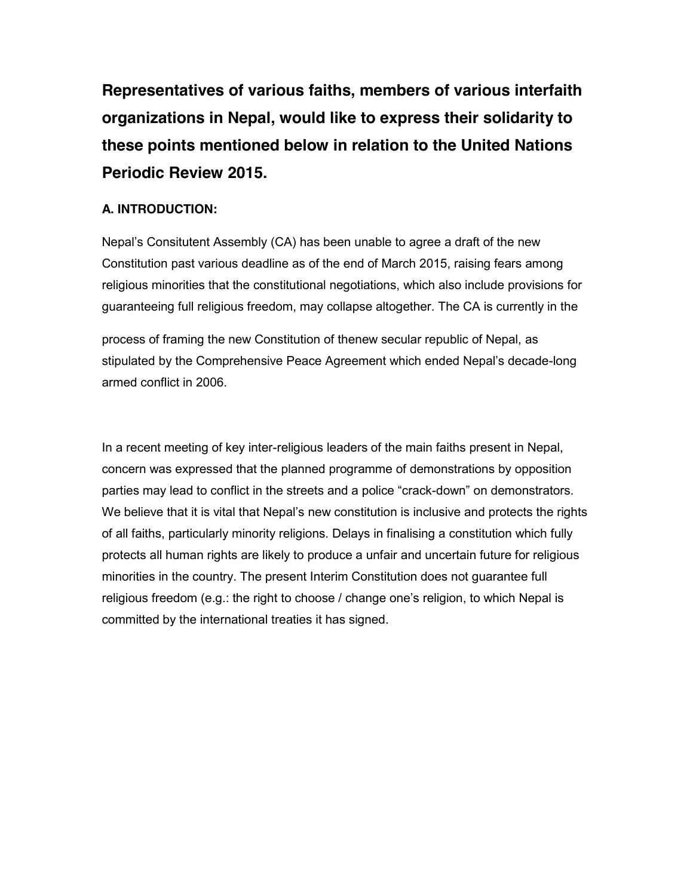**Representatives of various faiths, members of various interfaith organizations in Nepal, would like to express their solidarity to these points mentioned below in relation to the United Nations Periodic Review 2015.**

### **A. INTRODUCTION:**

Nepal's Consitutent Assembly (CA) has been unable to agree a draft of the new Constitution past various deadline as of the end of March 2015, raising fears among religious minorities that the constitutional negotiations, which also include provisions for guaranteeing full religious freedom, may collapse altogether. The CA is currently in the

process of framing the new Constitution of thenew secular republic of Nepal, as stipulated by the Comprehensive Peace Agreement which ended Nepal's decade-long armed conflict in 2006.

In a recent meeting of key inter-religious leaders of the main faiths present in Nepal, concern was expressed that the planned programme of demonstrations by opposition parties may lead to conflict in the streets and a police "crack-down" on demonstrators. We believe that it is vital that Nepal's new constitution is inclusive and protects the rights of all faiths, particularly minority religions. Delays in finalising a constitution which fully protects all human rights are likely to produce a unfair and uncertain future for religious minorities in the country. The present Interim Constitution does not guarantee full religious freedom (e.g.: the right to choose / change one's religion, to which Nepal is committed by the international treaties it has signed.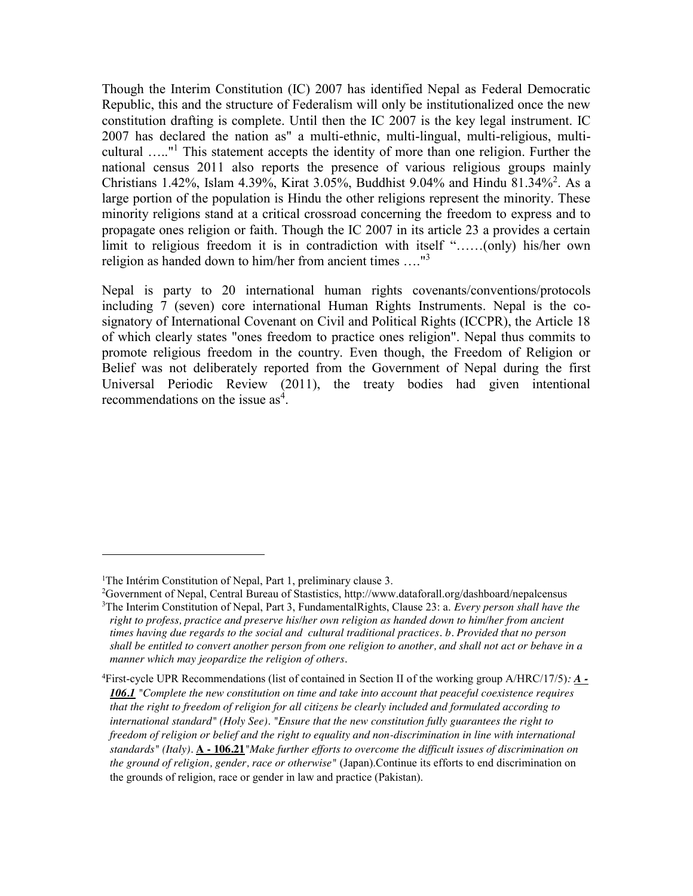Though the Interim Constitution (IC) 2007 has identified Nepal as Federal Democratic Republic, this and the structure of Federalism will only be institutionalized once the new constitution drafting is complete. Until then the IC 2007 is the key legal instrument. IC 2007 has declared the nation as" a multi-ethnic, multi-lingual, multi-religious, multicultural ….."<sup>1</sup> This statement accepts the identity of more than one religion. Further the national census 2011 also reports the presence of various religious groups mainly Christians 1.42%, Islam 4.39%, Kirat 3.05%, Buddhist 9.04% and Hindu 81.34%<sup>2</sup> . As a large portion of the population is Hindu the other religions represent the minority. These minority religions stand at a critical crossroad concerning the freedom to express and to propagate ones religion or faith. Though the IC 2007 in its article 23 a provides a certain limit to religious freedom it is in contradiction with itself "……(only) his/her own religion as handed down to him/her from ancient times …."<sup>3</sup>

Nepal is party to 20 international human rights covenants/conventions/protocols including 7 (seven) core international Human Rights Instruments. Nepal is the cosignatory of International Covenant on Civil and Political Rights (ICCPR), the Article 18 of which clearly states "ones freedom to practice ones religion". Nepal thus commits to promote religious freedom in the country. Even though, the Freedom of Religion or Belief was not deliberately reported from the Government of Nepal during the first Universal Periodic Review (2011), the treaty bodies had given intentional recommendations on the issue as<sup>4</sup>.

 $\overline{\phantom{a}}$ 

<sup>&</sup>lt;sup>1</sup>The Intérim Constitution of Nepal, Part 1, preliminary clause 3.

<sup>2</sup> Government of Nepal, Central Bureau of Stastistics, http://www.dataforall.org/dashboard/nepalcensus

<sup>3</sup> The Interim Constitution of Nepal, Part 3, FundamentalRights, Clause 23: a. *Every person shall have the right to profess, practice and preserve his/her own religion as handed down to him/her from ancient times having due regards to the social and cultural traditional practices. b. Provided that no person shall be entitled to convert another person from one religion to another, and shall not act or behave in a manner which may jeopardize the religion of others.* 

<sup>4</sup> First-cycle UPR Recommendations (list of contained in Section II of the working group A/HRC/17/5)*: A - 106.1 "Complete the new constitution on time and take into account that peaceful coexistence requires that the right to freedom of religion for all citizens be clearly included and formulated according to international standard" (Holy See). "Ensure that the new constitution fully guarantees the right to freedom of religion or belief and the right to equality and non-discrimination in line with international standards" (Italy).* **A - 106.21***"Make further efforts to overcome the difficult issues of discrimination on the ground of religion, gender, race or otherwise"* (Japan).Continue its efforts to end discrimination on the grounds of religion, race or gender in law and practice (Pakistan).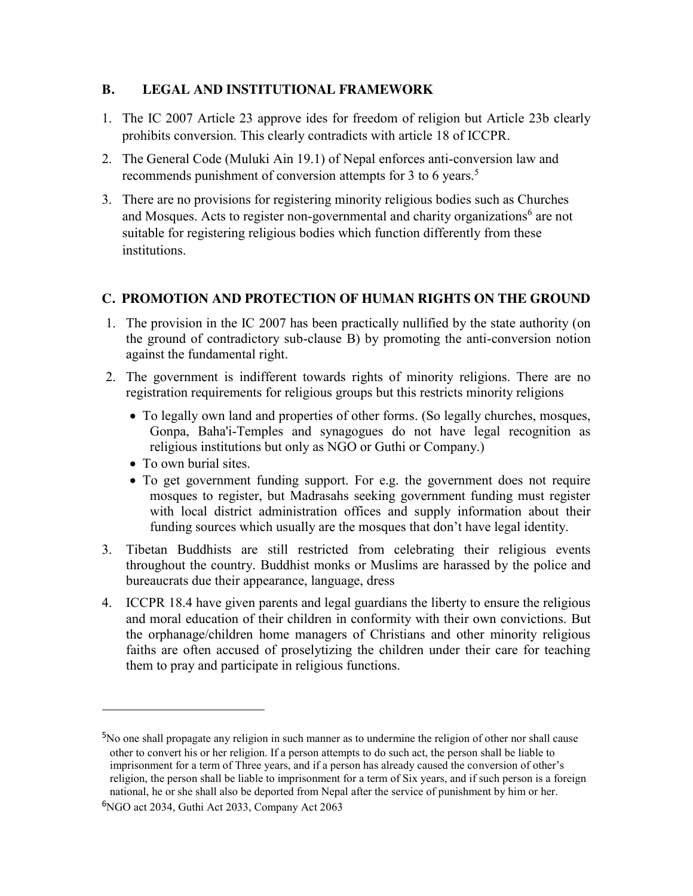#### **B. LEGAL AND INSTITUTIONAL FRAMEWORK**

- 1. The IC 2007 Article 23 approve ides for freedom of religion but Article 23b clearly prohibits conversion. This clearly contradicts with article 18 of ICCPR.
- 2. The General Code (Muluki Ain 19.1) of Nepal enforces anti-conversion law and recommends punishment of conversion attempts for 3 to 6 years.<sup>5</sup>
- 3. There are no provisions for registering minority religious bodies such as Churches and Mosques. Acts to register non-governmental and charity organizations<sup>6</sup> are not suitable for registering religious bodies which function differently from these institutions.

## **C. PROMOTION AND PROTECTION OF HUMAN RIGHTS ON THE GROUND**

- 1. The provision in the IC 2007 has been practically nullified by the state authority (on the ground of contradictory sub-clause B) by promoting the anti-conversion notion against the fundamental right.
- 2. The government is indifferent towards rights of minority religions. There are no registration requirements for religious groups but this restricts minority religions
	- To legally own land and properties of other forms. (So legally churches, mosques, Gonpa, Baha'i-Temples and synagogues do not have legal recognition as religious institutions but only as NGO or Guthi or Company.)
	- To own burial sites.

 $\overline{\phantom{a}}$ 

- To get government funding support. For e.g. the government does not require mosques to register, but Madrasahs seeking government funding must register with local district administration offices and supply information about their funding sources which usually are the mosques that don't have legal identity.
- 3. Tibetan Buddhists are still restricted from celebrating their religious events throughout the country. Buddhist monks or Muslims are harassed by the police and bureaucrats due their appearance, language, dress
- 4. ICCPR 18.4 have given parents and legal guardians the liberty to ensure the religious and moral education of their children in conformity with their own convictions. But the orphanage/children home managers of Christians and other minority religious faiths are often accused of proselytizing the children under their care for teaching them to pray and participate in religious functions.

<sup>&</sup>lt;sup>5</sup>No one shall propagate any religion in such manner as to undermine the religion of other nor shall cause other to convert his or her religion. If a person attempts to do such act, the person shall be liable to imprisonment for a term of Three years, and if a person has already caused the conversion of other's religion, the person shall be liable to imprisonment for a term of Six years, and if such person is a foreign national, he or she shall also be deported from Nepal after the service of punishment by him or her.

<sup>6</sup>NGO act 2034, Guthi Act 2033, Company Act 2063